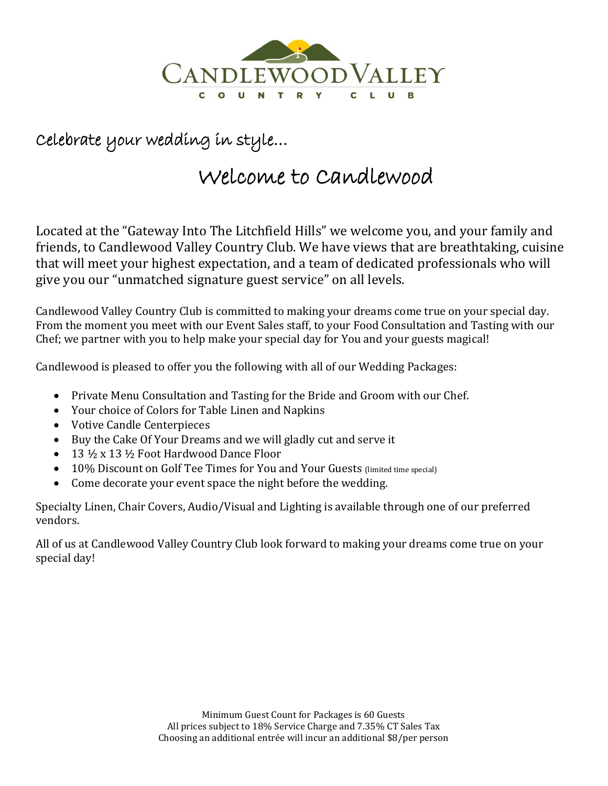

## Celebrate your wedding in style…

# Welcome to Candlewood

Located at the "Gateway Into The Litchfield Hills" we welcome you, and your family and friends, to Candlewood Valley Country Club. We have views that are breathtaking, cuisine that will meet your highest expectation, and a team of dedicated professionals who will give you our "unmatched signature guest service" on all levels.

Candlewood Valley Country Club is committed to making your dreams come true on your special day. From the moment you meet with our Event Sales staff, to your Food Consultation and Tasting with our Chef; we partner with you to help make your special day for You and your guests magical!

Candlewood is pleased to offer you the following with all of our Wedding Packages:

- Private Menu Consultation and Tasting for the Bride and Groom with our Chef.
- Your choice of Colors for Table Linen and Napkins
- Votive Candle Centerpieces
- Buy the Cake Of Your Dreams and we will gladly cut and serve it
- $\bullet$  13  $\frac{1}{2}$  x 13  $\frac{1}{2}$  Foot Hardwood Dance Floor
- 10% Discount on Golf Tee Times for You and Your Guests (limited time special)
- Come decorate your event space the night before the wedding.

Specialty Linen, Chair Covers, Audio/Visual and Lighting is available through one of our preferred vendors.

All of us at Candlewood Valley Country Club look forward to making your dreams come true on your special day!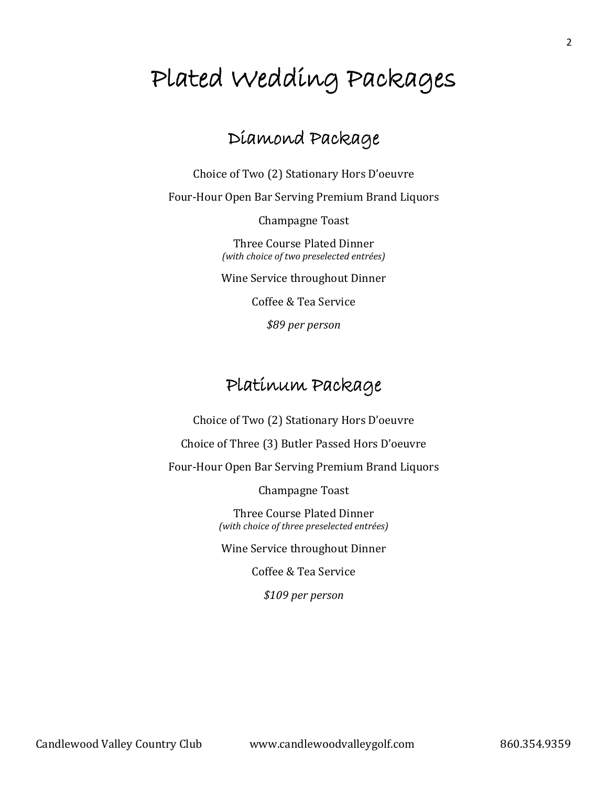# Plated Wedding Packages

## Diamond Package

Choice of Two (2) Stationary Hors D'oeuvre

Four-Hour Open Bar Serving Premium Brand Liquors

Champagne Toast

Three Course Plated Dinner *(with choice of two preselected entrées)*

Wine Service throughout Dinner

Coffee & Tea Service

*\$89 per person*

### Platinum Package

Choice of Two (2) Stationary Hors D'oeuvre

Choice of Three (3) Butler Passed Hors D'oeuvre

Four-Hour Open Bar Serving Premium Brand Liquors

Champagne Toast

Three Course Plated Dinner *(with choice of three preselected entrées)*

Wine Service throughout Dinner

Coffee & Tea Service

*\$109 per person*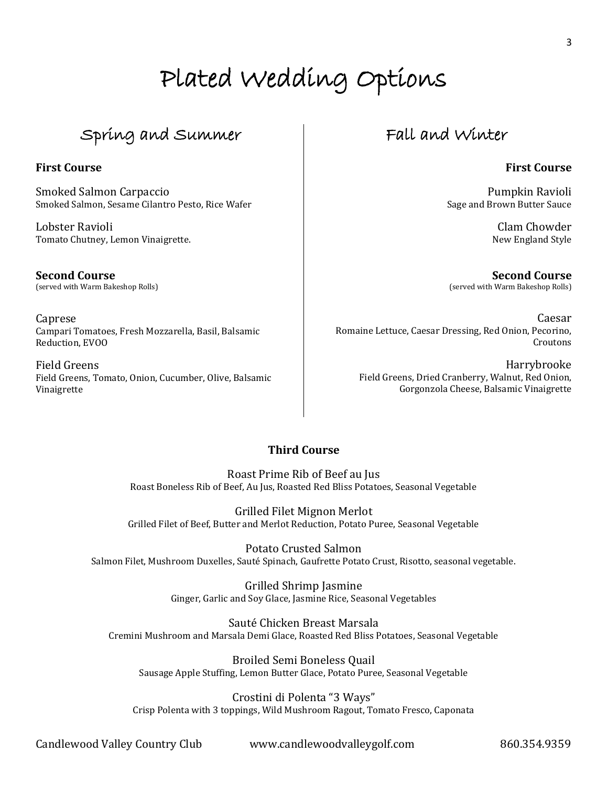# Plated Wedding Options

## Spring and Summer

### **First Course**

Smoked Salmon Carpaccio Smoked Salmon, Sesame Cilantro Pesto, Rice Wafer

Lobster Ravioli Tomato Chutney, Lemon Vinaigrette.

**Second Course** (served with Warm Bakeshop Rolls)

Caprese Campari Tomatoes, Fresh Mozzarella, Basil, Balsamic Reduction, EVOO

Field Greens Field Greens, Tomato, Onion, Cucumber, Olive, Balsamic Vinaigrette

### Fall and Winter

### **First Course**

Pumpkin Ravioli Sage and Brown Butter Sauce

> Clam Chowder New England Style

**Second Course** (served with Warm Bakeshop Rolls)

Caesar Romaine Lettuce, Caesar Dressing, Red Onion, Pecorino, Croutons

Harrybrooke Field Greens, Dried Cranberry, Walnut, Red Onion, Gorgonzola Cheese, Balsamic Vinaigrette

### **Third Course**

Roast Prime Rib of Beef au Jus Roast Boneless Rib of Beef, Au Jus, Roasted Red Bliss Potatoes, Seasonal Vegetable

Grilled Filet Mignon Merlot Grilled Filet of Beef, Butter and Merlot Reduction, Potato Puree, Seasonal Vegetable

Potato Crusted Salmon Salmon Filet, Mushroom Duxelles, Sauté Spinach, Gaufrette Potato Crust, Risotto, seasonal vegetable.

> Grilled Shrimp Jasmine Ginger, Garlic and Soy Glace, Jasmine Rice, Seasonal Vegetables

Sauté Chicken Breast Marsala Cremini Mushroom and Marsala Demi Glace, Roasted Red Bliss Potatoes, Seasonal Vegetable

Broiled Semi Boneless Quail Sausage Apple Stuffing, Lemon Butter Glace, Potato Puree, Seasonal Vegetable

Crostini di Polenta "3 Ways" Crisp Polenta with 3 toppings, Wild Mushroom Ragout, Tomato Fresco, Caponata

Candlewood Valley Country Club www.candlewoodvalleygolf.com 860.354.9359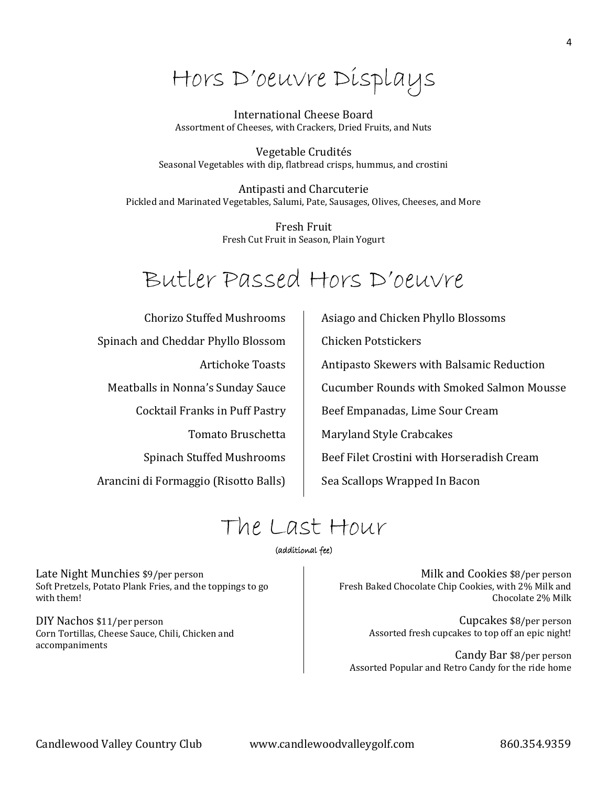Hors D'oeuvre Displays

#### International Cheese Board Assortment of Cheeses, with Crackers, Dried Fruits, and Nuts

Vegetable Crudités Seasonal Vegetables with dip, flatbread crisps, hummus, and crostini

Antipasti and Charcuterie Pickled and Marinated Vegetables, Salumi, Pate, Sausages, Olives, Cheeses, and More

> Fresh Fruit Fresh Cut Fruit in Season, Plain Yogurt

# Butler Passed Hors D'oeuvre

Chorizo Stuffed Mushrooms Spinach and Cheddar Phyllo Blossom Artichoke Toasts Meatballs in Nonna's Sunday Sauce Cocktail Franks in Puff Pastry Tomato Bruschetta Spinach Stuffed Mushrooms Arancini di Formaggio (Risotto Balls) Asiago and Chicken Phyllo Blossoms Chicken Potstickers Antipasto Skewers with Balsamic Reduction Cucumber Rounds with Smoked Salmon Mousse Beef Empanadas, Lime Sour Cream Maryland Style Crabcakes Beef Filet Crostini with Horseradish Cream Sea Scallops Wrapped In Bacon

# The Last Hour

#### (additional fee)

Late Night Munchies \$9/per person Soft Pretzels, Potato Plank Fries, and the toppings to go with them!

DIY Nachos \$11/per person Corn Tortillas, Cheese Sauce, Chili, Chicken and accompaniments

Milk and Cookies \$8/per person Fresh Baked Chocolate Chip Cookies, with 2% Milk and Chocolate 2% Milk

> Cupcakes \$8/per person Assorted fresh cupcakes to top off an epic night!

Candy Bar \$8/per person Assorted Popular and Retro Candy for the ride home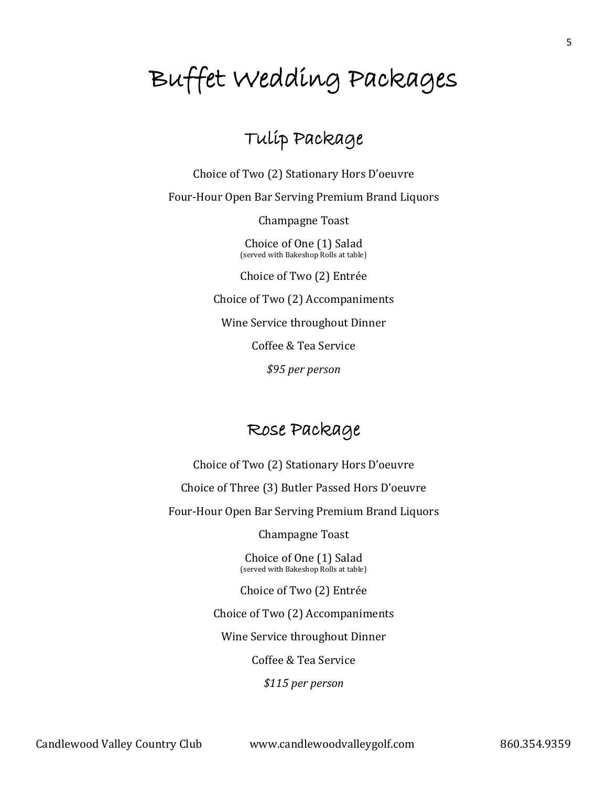# Buffet Wedding Packages

## Tulip Package

Choice of Two (2) Stationary Hors D'oeuvre Four-Hour Open Bar Serving Premium Brand Liquors Champagne Toast

> Choice of One (1) Salad (served with Bakeshop Rolls at table)

> Choice of Two (2) Entrée

Choice of Two (2) Accompaniments

Wine Service throughout Dinner

Coffee & Tea Service

*\$95 per person*

## Rose Package

Choice of Two (2) Stationary Hors D'oeuvre

Choice of Three (3) Butler Passed Hors D'oeuvre

Four-Hour Open Bar Serving Premium Brand Liquors

Champagne Toast

Choice of One (1) Salad (served with Bakeshop Rolls at table)

Choice of Two (2) Entrée

Choice of Two (2) Accompaniments

Wine Service throughout Dinner

Coffee & Tea Service

*\$115 per person*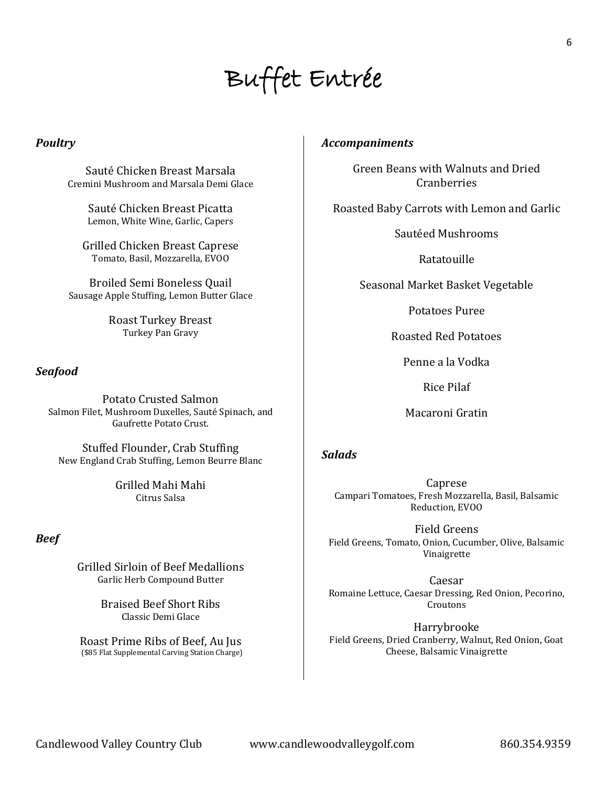# Buffet Entrée

### *Poultry*

Sauté Chicken Breast Marsala Cremini Mushroom and Marsala Demi Glace

> Sauté Chicken Breast Picatta Lemon, White Wine, Garlic, Capers

Grilled Chicken Breast Caprese Tomato, Basil, Mozzarella, EVOO

Broiled Semi Boneless Quail Sausage Apple Stuffing, Lemon Butter Glace

> Roast Turkey Breast Turkey Pan Gravy

### *Seafood*

Potato Crusted Salmon Salmon Filet, Mushroom Duxelles, Sauté Spinach, and Gaufrette Potato Crust.

Stuffed Flounder, Crab Stuffing New England Crab Stuffing, Lemon Beurre Blanc

> Grilled Mahi Mahi Citrus Salsa

### *Beef*

Grilled Sirloin of Beef Medallions Garlic Herb Compound Butter

> Braised Beef Short Ribs Classic Demi Glace

Roast Prime Ribs of Beef, Au Jus (\$85 Flat Supplemental Carving Station Charge)

### *Accompaniments*

Green Beans with Walnuts and Dried **Cranberries** 

Roasted Baby Carrots with Lemon and Garlic

Sautéed Mushrooms

Ratatouille

Seasonal Market Basket Vegetable

Potatoes Puree

Roasted Red Potatoes

Penne a la Vodka

Rice Pilaf

Macaroni Gratin

### *Salads*

Caprese Campari Tomatoes, Fresh Mozzarella, Basil, Balsamic Reduction, EVOO

Field Greens Field Greens, Tomato, Onion, Cucumber, Olive, Balsamic Vinaigrette

Caesar Romaine Lettuce, Caesar Dressing, Red Onion, Pecorino, **Croutons** 

Harrybrooke Field Greens, Dried Cranberry, Walnut, Red Onion, Goat Cheese, Balsamic Vinaigrette